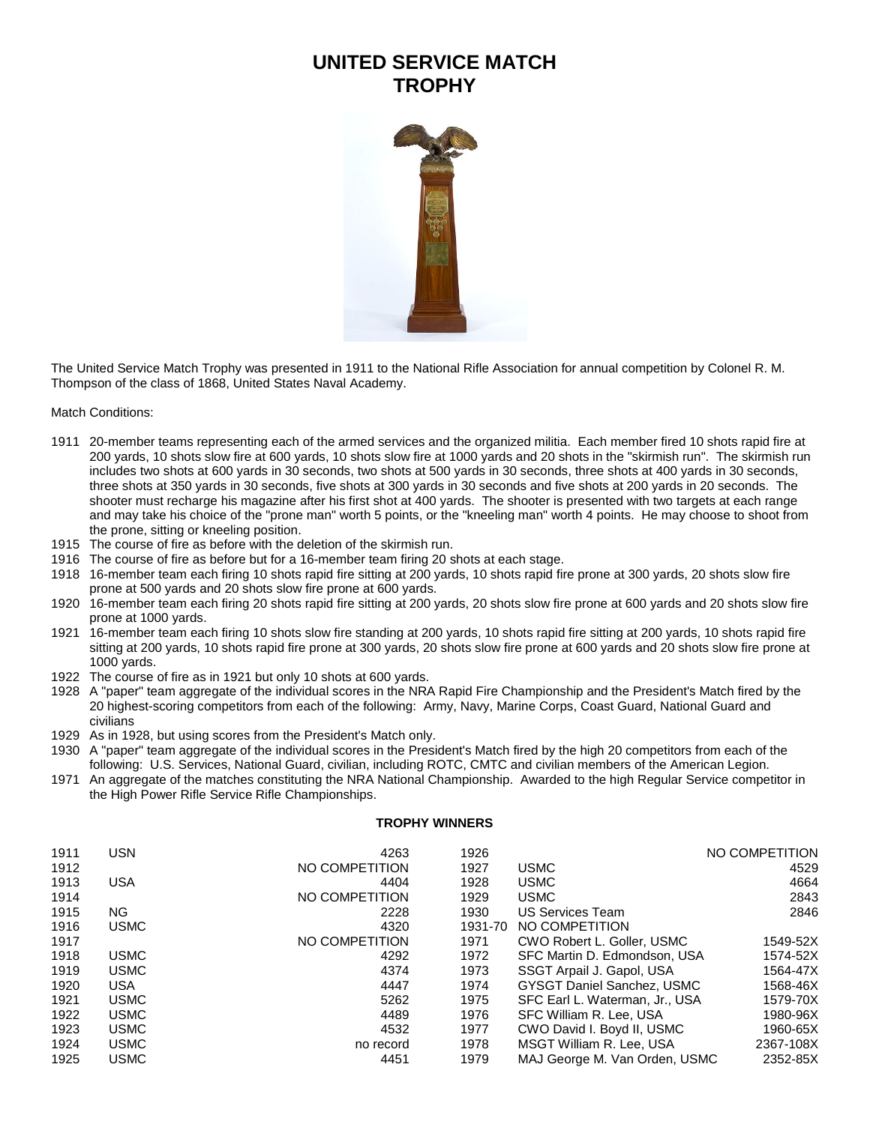## **UNITED SERVICE MATCH TROPHY**



The United Service Match Trophy was presented in 1911 to the National Rifle Association for annual competition by Colonel R. M. Thompson of the class of 1868, United States Naval Academy.

Match Conditions:

- 20-member teams representing each of the armed services and the organized militia. Each member fired 10 shots rapid fire at 200 yards, 10 shots slow fire at 600 yards, 10 shots slow fire at 1000 yards and 20 shots in the "skirmish run". The skirmish run includes two shots at 600 yards in 30 seconds, two shots at 500 yards in 30 seconds, three shots at 400 yards in 30 seconds, three shots at 350 yards in 30 seconds, five shots at 300 yards in 30 seconds and five shots at 200 yards in 20 seconds. The shooter must recharge his magazine after his first shot at 400 yards. The shooter is presented with two targets at each range and may take his choice of the "prone man" worth 5 points, or the "kneeling man" worth 4 points. He may choose to shoot from the prone, sitting or kneeling position.
- The course of fire as before with the deletion of the skirmish run.
- The course of fire as before but for a 16-member team firing 20 shots at each stage.
- 16-member team each firing 10 shots rapid fire sitting at 200 yards, 10 shots rapid fire prone at 300 yards, 20 shots slow fire prone at 500 yards and 20 shots slow fire prone at 600 yards.
- 16-member team each firing 20 shots rapid fire sitting at 200 yards, 20 shots slow fire prone at 600 yards and 20 shots slow fire prone at 1000 yards.
- 16-member team each firing 10 shots slow fire standing at 200 yards, 10 shots rapid fire sitting at 200 yards, 10 shots rapid fire sitting at 200 yards, 10 shots rapid fire prone at 300 yards, 20 shots slow fire prone at 600 yards and 20 shots slow fire prone at 1000 yards.
- The course of fire as in 1921 but only 10 shots at 600 yards.
- A "paper" team aggregate of the individual scores in the NRA Rapid Fire Championship and the President's Match fired by the 20 highest-scoring competitors from each of the following: Army, Navy, Marine Corps, Coast Guard, National Guard and civilians
- As in 1928, but using scores from the President's Match only.
- A "paper" team aggregate of the individual scores in the President's Match fired by the high 20 competitors from each of the following: U.S. Services, National Guard, civilian, including ROTC, CMTC and civilian members of the American Legion.
- An aggregate of the matches constituting the NRA National Championship. Awarded to the high Regular Service competitor in the High Power Rifle Service Rifle Championships.

## **TROPHY WINNERS**

| 1911 | <b>USN</b>  | 4263           | 1926    |                                   | NO COMPETITION |
|------|-------------|----------------|---------|-----------------------------------|----------------|
| 1912 |             | NO COMPETITION | 1927    | <b>USMC</b>                       | 4529           |
| 1913 | <b>USA</b>  | 4404           | 1928    | <b>USMC</b>                       | 4664           |
| 1914 |             | NO COMPETITION | 1929    | <b>USMC</b>                       | 2843           |
| 1915 | NG.         | 2228           | 1930    | US Services Team                  | 2846           |
| 1916 | <b>USMC</b> | 4320           | 1931-70 | NO COMPETITION                    |                |
| 1917 |             | NO COMPETITION | 1971    | CWO Robert L. Goller, USMC        | 1549-52X       |
| 1918 | <b>USMC</b> | 4292           | 1972    | SFC Martin D. Edmondson, USA      | 1574-52X       |
| 1919 | <b>USMC</b> | 4374           | 1973    | SSGT Arpail J. Gapol, USA         | 1564-47X       |
| 1920 | <b>USA</b>  | 4447           | 1974    | <b>GYSGT Daniel Sanchez, USMC</b> | 1568-46X       |
| 1921 | <b>USMC</b> | 5262           | 1975    | SFC Earl L. Waterman, Jr., USA    | 1579-70X       |
| 1922 | <b>USMC</b> | 4489           | 1976    | SFC William R. Lee, USA           | 1980-96X       |
| 1923 | <b>USMC</b> | 4532           | 1977    | CWO David I. Boyd II, USMC        | 1960-65X       |
| 1924 | <b>USMC</b> | no record      | 1978    | MSGT William R. Lee, USA          | 2367-108X      |
| 1925 | <b>USMC</b> | 4451           | 1979    | MAJ George M. Van Orden, USMC     | 2352-85X       |